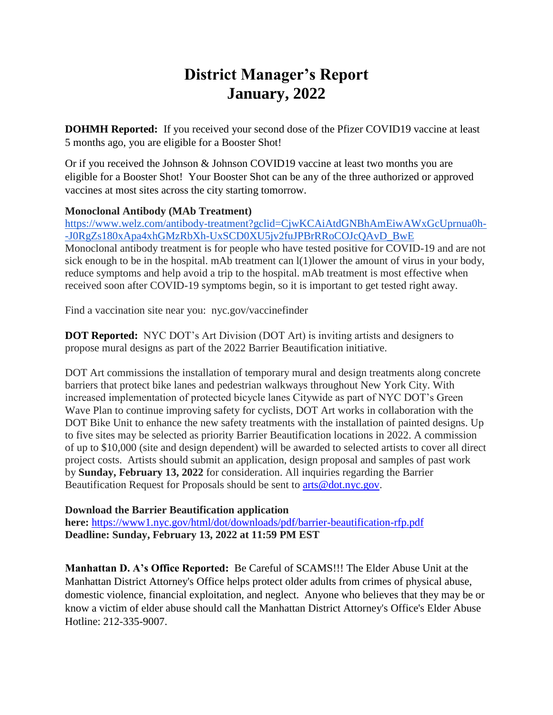# **District Manager's Report January, 2022**

**DOHMH Reported:** If you received your second dose of the Pfizer COVID19 vaccine at least 5 months ago, you are eligible for a Booster Shot!

Or if you received the Johnson & Johnson COVID19 vaccine at least two months you are eligible for a Booster Shot! Your Booster Shot can be any of the three authorized or approved vaccines at most sites across the city starting tomorrow.

## **Monoclonal Antibody (MAb Treatment)**

[https://www.welz.com/antibody-treatment?gclid=CjwKCAiAtdGNBhAmEiwAWxGcUprnua0h-](https://www.welz.com/antibody-treatment?gclid=CjwKCAiAtdGNBhAmEiwAWxGcUprnua0h--J0RgZs180xApa4xhGMzRbXh-UxSCD0XU5jv2fuJPBrRRoCOJcQAvD_BwE) [-J0RgZs180xApa4xhGMzRbXh-UxSCD0XU5jv2fuJPBrRRoCOJcQAvD\\_BwE](https://www.welz.com/antibody-treatment?gclid=CjwKCAiAtdGNBhAmEiwAWxGcUprnua0h--J0RgZs180xApa4xhGMzRbXh-UxSCD0XU5jv2fuJPBrRRoCOJcQAvD_BwE) Monoclonal antibody treatment is for people who have tested positive for COVID-19 and are not sick enough to be in the hospital. mAb treatment can l(1)lower the amount of virus in your body, reduce symptoms and help avoid a trip to the hospital. mAb treatment is most effective when received soon after COVID-19 symptoms begin, so it is important to get tested right away.

Find a vaccination site near you: nyc.gov/vaccinefinder

**DOT Reported:** NYC DOT's Art Division (DOT Art) is inviting artists and designers to propose mural designs as part of the 2022 Barrier Beautification initiative.

DOT Art commissions the installation of temporary mural and design treatments along concrete barriers that protect bike lanes and pedestrian walkways throughout New York City. With increased implementation of protected bicycle lanes Citywide as part of NYC DOT's Green Wave Plan to continue improving safety for cyclists, DOT Art works in collaboration with the DOT Bike Unit to enhance the new safety treatments with the installation of painted designs. Up to five sites may be selected as priority Barrier Beautification locations in 2022. A commission of up to \$10,000 (site and design dependent) will be awarded to selected artists to cover all direct project costs. Artists should submit an application, design proposal and samples of past work by **Sunday, February 13, 2022** for consideration. All inquiries regarding the Barrier Beautification Request for Proposals should be sent to [arts@dot.nyc.gov.](mailto:arts@dot.nyc.gov)

## **Download the Barrier Beautification application**

**here:** <https://www1.nyc.gov/html/dot/downloads/pdf/barrier-beautification-rfp.pdf> **Deadline: Sunday, February 13, 2022 at 11:59 PM EST**

**Manhattan D. A's Office Reported:** Be Careful of SCAMS!!! The Elder Abuse Unit at the Manhattan District Attorney's Office helps protect older adults from crimes of physical abuse, domestic violence, financial exploitation, and neglect. Anyone who believes that they may be or know a victim of elder abuse should call the Manhattan District Attorney's Office's Elder Abuse Hotline: 212-335-9007.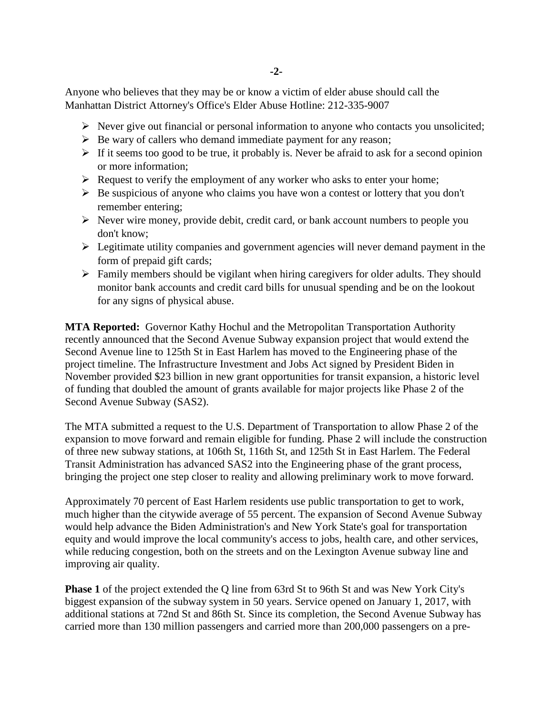Anyone who believes that they may be or know a victim of elder abuse should call the Manhattan District Attorney's Office's Elder Abuse Hotline: 212-335-9007

- $\triangleright$  Never give out financial or personal information to anyone who contacts you unsolicited;
- $\triangleright$  Be wary of callers who demand immediate payment for any reason;
- $\triangleright$  If it seems too good to be true, it probably is. Never be afraid to ask for a second opinion or more information;
- $\triangleright$  Request to verify the employment of any worker who asks to enter your home;
- $\triangleright$  Be suspicious of anyone who claims you have won a contest or lottery that you don't remember entering;
- $\triangleright$  Never wire money, provide debit, credit card, or bank account numbers to people you don't know;
- $\triangleright$  Legitimate utility companies and government agencies will never demand payment in the form of prepaid gift cards;
- $\triangleright$  Family members should be vigilant when hiring caregivers for older adults. They should monitor bank accounts and credit card bills for unusual spending and be on the lookout for any signs of physical abuse.

**MTA Reported:** Governor Kathy Hochul and the Metropolitan Transportation Authority recently announced that the Second Avenue Subway expansion project that would extend the Second Avenue line to 125th St in East Harlem has moved to the Engineering phase of the project timeline. The Infrastructure Investment and Jobs Act signed by President Biden in November provided \$23 billion in new grant opportunities for transit expansion, a historic level of funding that doubled the amount of grants available for major projects like Phase 2 of the Second Avenue Subway (SAS2).

The MTA submitted a request to the U.S. Department of Transportation to allow Phase 2 of the expansion to move forward and remain eligible for funding. Phase 2 will include the construction of three new subway stations, at 106th St, 116th St, and 125th St in East Harlem. The Federal Transit Administration has advanced SAS2 into the Engineering phase of the grant process, bringing the project one step closer to reality and allowing preliminary work to move forward.

Approximately 70 percent of East Harlem residents use public transportation to get to work, much higher than the citywide average of 55 percent. The expansion of Second Avenue Subway would help advance the Biden Administration's and New York State's goal for transportation equity and would improve the local community's access to jobs, health care, and other services, while reducing congestion, both on the streets and on the Lexington Avenue subway line and improving air quality.

**Phase 1** of the project extended the Q line from 63rd St to 96th St and was New York City's biggest expansion of the subway system in 50 years. Service opened on January 1, 2017, with additional stations at 72nd St and 86th St. Since its completion, the Second Avenue Subway has carried more than 130 million passengers and carried more than 200,000 passengers on a pre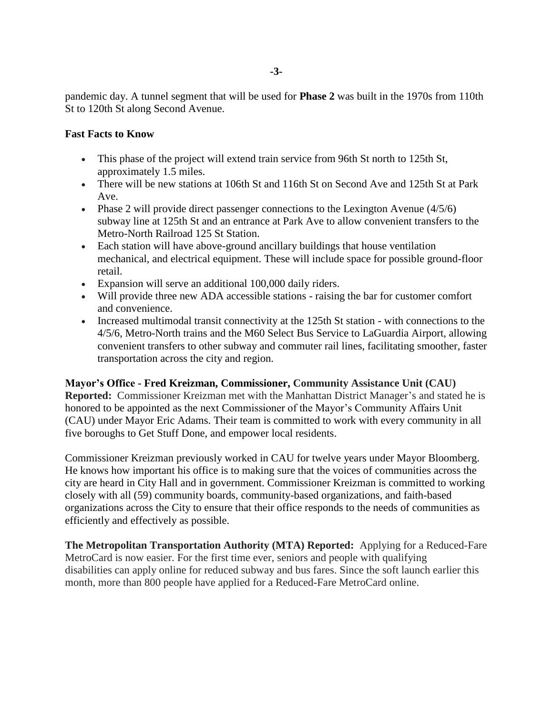pandemic day. A tunnel segment that will be used for **Phase 2** was built in the 1970s from 110th St to 120th St along Second Avenue.

### **Fast Facts to Know**

- This phase of the project will extend train service from 96th St north to 125th St, approximately 1.5 miles.
- There will be new stations at 106th St and 116th St on Second Ave and 125th St at Park Ave.
- Phase 2 will provide direct passenger connections to the Lexington Avenue  $(4/5/6)$ subway line at 125th St and an entrance at Park Ave to allow convenient transfers to the Metro-North Railroad 125 St Station.
- Each station will have above-ground ancillary buildings that house ventilation mechanical, and electrical equipment. These will include space for possible ground-floor retail.
- Expansion will serve an additional 100,000 daily riders.
- Will provide three new ADA accessible stations raising the bar for customer comfort and convenience.
- Increased multimodal transit connectivity at the 125th St station with connections to the 4/5/6, Metro-North trains and the M60 Select Bus Service to LaGuardia Airport, allowing convenient transfers to other subway and commuter rail lines, facilitating smoother, faster transportation across the city and region.

**Mayor's Office - Fred Kreizman, Commissioner, Community Assistance Unit (CAU) Reported:** Commissioner Kreizman met with the Manhattan District Manager's and stated he is honored to be appointed as the next Commissioner of the Mayor's Community Affairs Unit (CAU) under Mayor Eric Adams. Their team is committed to work with every community in all five boroughs to Get Stuff Done, and empower local residents.

Commissioner Kreizman previously worked in CAU for twelve years under Mayor Bloomberg. He knows how important his office is to making sure that the voices of communities across the city are heard in City Hall and in government. Commissioner Kreizman is committed to working closely with all (59) community boards, community-based organizations, and faith-based organizations across the City to ensure that their office responds to the needs of communities as efficiently and effectively as possible.

**The Metropolitan Transportation Authority (MTA) Reported:** Applying for a Reduced-Fare MetroCard is now easier. For the first time ever, seniors and people with qualifying disabilities can apply online for reduced subway and bus fares. Since the soft launch earlier this month, more than 800 people have applied for a Reduced-Fare MetroCard online.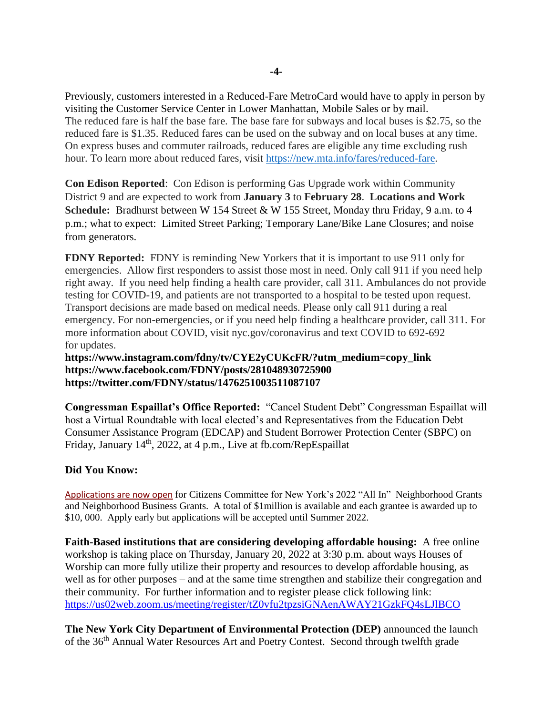Previously, customers interested in a Reduced-Fare MetroCard would have to apply in person by visiting the Customer Service Center in Lower Manhattan, Mobile Sales or by mail. The reduced fare is half the base fare. The base fare for subways and local buses is \$2.75, so the reduced fare is \$1.35. Reduced fares can be used on the subway and on local buses at any time. On express buses and commuter railroads, reduced fares are eligible any time excluding rush hour. To learn more about reduced fares, visit [https://new.mta.info/fares/reduced-fare.](https://new.mta.info/fares/reduced-fare)

**Con Edison Reported**: Con Edison is performing Gas Upgrade work within Community District 9 and are expected to work from **January 3** to **February 28**. **Locations and Work Schedule:** Bradhurst between W 154 Street & W 155 Street, Monday thru Friday, 9 a.m. to 4 p.m.; what to expect: Limited Street Parking; Temporary Lane/Bike Lane Closures; and noise from generators.

**FDNY Reported:** FDNY is reminding New Yorkers that it is important to use 911 only for emergencies. Allow first responders to assist those most in need. Only call 911 if you need help right away. If you need help finding a health care provider, call 311. Ambulances do not provide testing for COVID-19, and patients are not transported to a hospital to be tested upon request. Transport decisions are made based on medical needs. Please only call 911 during a real emergency. For non-emergencies, or if you need help finding a healthcare provider, call 311. For more information about COVID, visit nyc.gov/coronavirus and text COVID to 692-692 for updates.

**[https://www.instagram.com/fdny/tv/CYE2yCUKcFR/?utm\\_medium=copy\\_link](https://gcc02.safelinks.protection.outlook.com/?url=https%3A%2F%2Fwww.instagram.com%2Ffdny%2Ftv%2FCYE2yCUKcFR%2F%3Futm_medium%3Dcopy_link&data=04%7C01%7CSandra.Sanchez%40fdny.nyc.gov%7Cb64216f4e98c40363e0808d9cfbe70e6%7C32f56fc75f814e22a95b15da66513bef%7C0%7C0%7C637769239098283244%7CUnknown%7CTWFpbGZsb3d8eyJWIjoiMC4wLjAwMDAiLCJQIjoiV2luMzIiLCJBTiI6Ik1haWwiLCJXVCI6Mn0%3D%7C3000&sdata=vcHc4jHuqODQPRVSvKc3OBqSl%2B3tWMnH0FdlH3JvIU4%3D&reserved=0) [https://www.facebook.com/FDNY/posts/281048930725900](https://gcc02.safelinks.protection.outlook.com/?url=https%3A%2F%2Fwww.facebook.com%2FFDNY%2Fposts%2F281048930725900%3F__cft__%5B0%5D%3DAZWslB3U1dk773UGsFRfkbeP_En4e6icwu9uiKsRI2gMB6JmShkI1pc4Ef4735NuIsLsfVN9eLvMm9_7_hhlQ_wnHj1I8WmvuIIj_b8cNY5z-1pV4PQNgLeu-S3DX_H-gSBRYTxQMT3LsxSkEi1CZSmQwptltnAe_qFO2iUQNFVoeA%26__tn__%3D%252CO%252CP-R&data=04%7C01%7CSandra.Sanchez%40fdny.nyc.gov%7Cb64216f4e98c40363e0808d9cfbe70e6%7C32f56fc75f814e22a95b15da66513bef%7C0%7C0%7C637769239098283244%7CUnknown%7CTWFpbGZsb3d8eyJWIjoiMC4wLjAwMDAiLCJQIjoiV2luMzIiLCJBTiI6Ik1haWwiLCJXVCI6Mn0%3D%7C3000&sdata=rPaujcSYFHSbzmVjJq4cvUbX61LZvL8GP89%2FB9dmOBo%3D&reserved=0) [https://twitter.com/FDNY/status/1476251003511087107](https://gcc02.safelinks.protection.outlook.com/?url=https%3A%2F%2Ftwitter.com%2FFDNY%2Fstatus%2F1476251003511087107&data=04%7C01%7CSandra.Sanchez%40fdny.nyc.gov%7Cb64216f4e98c40363e0808d9cfbe70e6%7C32f56fc75f814e22a95b15da66513bef%7C0%7C0%7C637769239098283244%7CUnknown%7CTWFpbGZsb3d8eyJWIjoiMC4wLjAwMDAiLCJQIjoiV2luMzIiLCJBTiI6Ik1haWwiLCJXVCI6Mn0%3D%7C3000&sdata=Rj7cXCsumHEnG8Ep%2BkI988pcg%2F1cD%2FWDIVqsCARXP04%3D&reserved=0)**

**Congressman Espaillat's Office Reported:** "Cancel Student Debt" Congressman Espaillat will host a Virtual Roundtable with local elected's and Representatives from the Education Debt Consumer Assistance Program (EDCAP) and Student Borrower Protection Center (SBPC) on Friday, January 14<sup>th</sup>, 2022, at 4 p.m., Live at fb.com/RepEspaillat

## **Did You Know:**

[Applications are now open](https://nyc.us11.list-manage.com/track/click?u=bf27f3da34498cc55bd5e1da4&id=6bb0a74f88&e=17cefa4866) for Citizens Committee for New York's 2022 "All In" Neighborhood Grants and Neighborhood Business Grants. A total of \$1million is available and each grantee is awarded up to \$10, 000. Apply early but applications will be accepted until Summer 2022.

**Faith-Based institutions that are considering developing affordable housing:** A free online workshop is taking place on Thursday, January 20, 2022 at 3:30 p.m. about ways Houses of Worship can more fully utilize their property and resources to develop affordable housing, as well as for other purposes – and at the same time strengthen and stabilize their congregation and their community. For further information and to register please click following link: <https://us02web.zoom.us/meeting/register/tZ0vfu2tpzsiGNAenAWAY21GzkFQ4sLJlBCO>

**The New York City Department of Environmental Protection (DEP)** announced the launch of the 36<sup>th</sup> Annual Water Resources Art and Poetry Contest. Second through twelfth grade